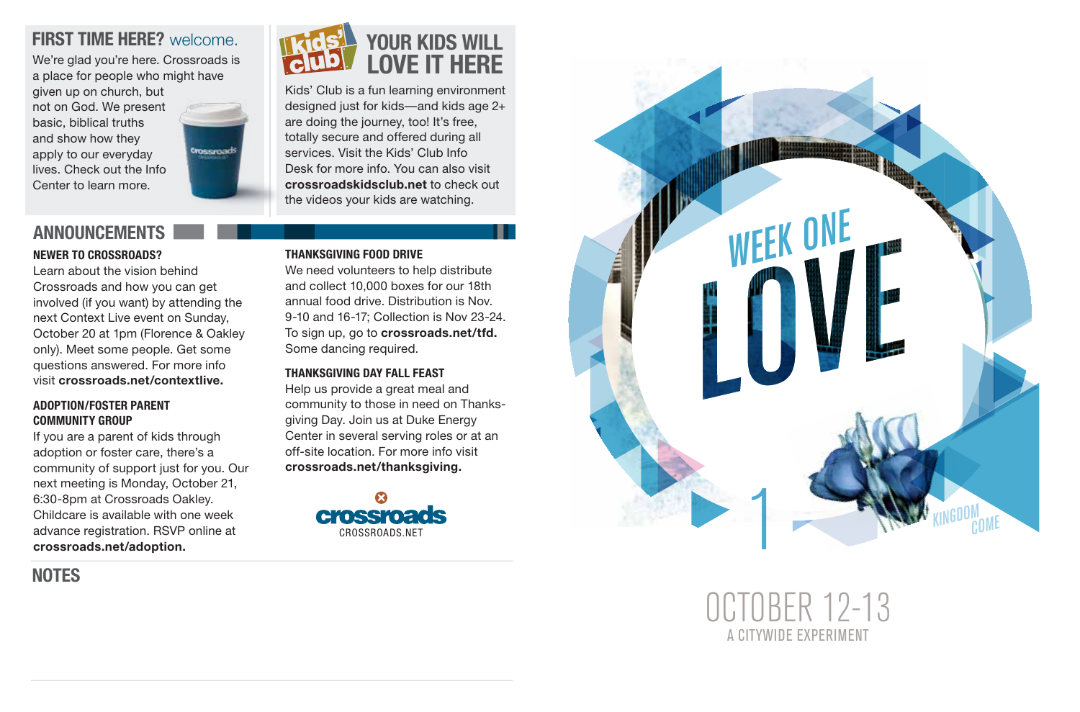### **FIRST TIME HERE?** welcome.

We're glad you're here. Crossroads is a place for people who might have given up on church, but not on God. We present basic, biblical truths and show how they apply to our everyday lives. Check out the Info Center to learn more.



### **ANNOUNCEMENTS**

### **NEWER TO CROSSROADS?**

Learn about the vision behind Crossroads and how you can get involved (if you want) by attending the next Context Live event on Sunday, October 20 at 1pm (Florence & Oakley only). Meet some people. Get some questions answered. For more info visit **crossroads.net/contextlive.**

#### **ADOPTION/FOSTER PARENT COMMUNITY GROUP**

If you are a parent of kids through adoption or foster care, there's a community of support just for you. Our next meeting is Monday, October 21, 6:30-8pm at Crossroads Oakley. Childcare is available with one week advance registration. RSVP online at **crossroads.net/adoption.**

**NOTES**



Kids' Club is a fun learning environment designed just for kids—and kids age 2+ are doing the journey, too! It's free, totally secure and offered during all services. Visit the Kids' Club Info Desk for more info. You can also visit **crossroadskidsclub.net** to check out the videos your kids are watching.

### **THANKSGIVING FOOD DRIVE**

We need volunteers to help distribute and collect 10,000 boxes for our 18th annual food drive. Distribution is Nov. 9-10 and 16-17; Collection is Nov 23-24. To sign up, go to **crossroads.net/tfd.**  Some dancing required.

### **THANKSGIVING DAY FALL FEAST**

Help us provide a great meal and community to those in need on Thanks giving Day. Join us at Duke Energy Center in several serving roles or at an off-site location. For more info visit **crossroads.net/thanksgiving.**





OCTOBER 12-13 A CITYWIDE EXPERIMENT